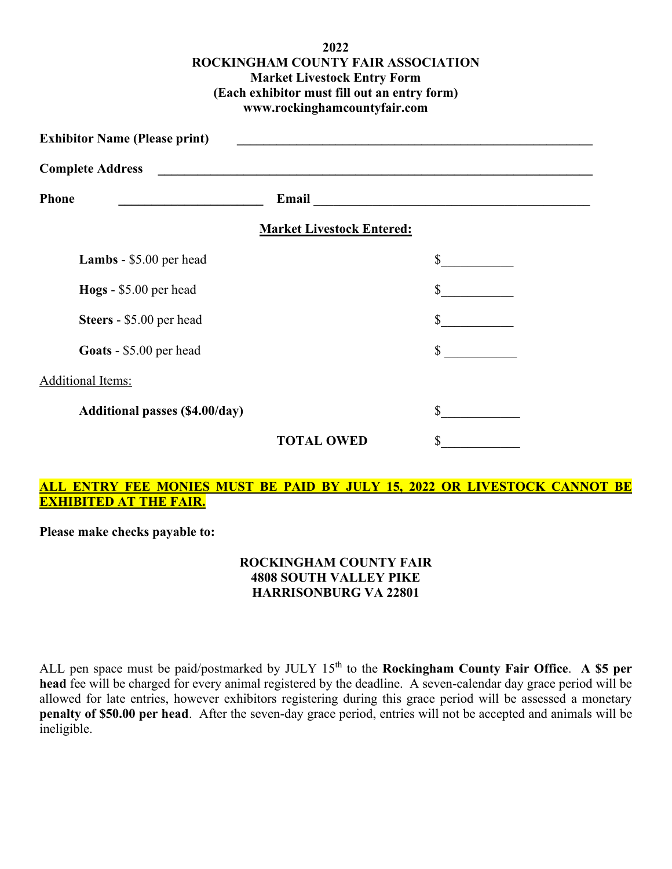## **2022 ROCKINGHAM COUNTY FAIR ASSOCIATION Market Livestock Entry Form (Each exhibitor must fill out an entry form) www.rockinghamcountyfair.com**

| <b>Exhibitor Name (Please print)</b><br><b>Complete Address</b><br><u> 1980 - John Stein, Amerikaansk politiker (</u> |    |                                                                                                                                                                                                                                                                          |
|-----------------------------------------------------------------------------------------------------------------------|----|--------------------------------------------------------------------------------------------------------------------------------------------------------------------------------------------------------------------------------------------------------------------------|
|                                                                                                                       |    |                                                                                                                                                                                                                                                                          |
|                                                                                                                       |    |                                                                                                                                                                                                                                                                          |
|                                                                                                                       | \$ |                                                                                                                                                                                                                                                                          |
|                                                                                                                       | \$ |                                                                                                                                                                                                                                                                          |
|                                                                                                                       | \$ |                                                                                                                                                                                                                                                                          |
|                                                                                                                       | \$ |                                                                                                                                                                                                                                                                          |
|                                                                                                                       |    |                                                                                                                                                                                                                                                                          |
|                                                                                                                       | \$ |                                                                                                                                                                                                                                                                          |
| <b>TOTAL OWED</b>                                                                                                     | S  |                                                                                                                                                                                                                                                                          |
|                                                                                                                       |    | Email <u>and the community of the community of the community of the community of the community of the community of the community of the community of the community of the community of the community of the community of the com</u><br><b>Market Livestock Entered:</b> |

## **ALL ENTRY FEE MONIES MUST BE PAID BY JULY 15, 2022 OR LIVESTOCK CANNOT BE EXHIBITED AT THE FAIR.**

**Please make checks payable to:**

## **ROCKINGHAM COUNTY FAIR 4808 SOUTH VALLEY PIKE HARRISONBURG VA 22801**

ALL pen space must be paid/postmarked by JULY 15<sup>th</sup> to the **Rockingham County Fair Office.** A \$5 per **head** fee will be charged for every animal registered by the deadline. A seven-calendar day grace period will be allowed for late entries, however exhibitors registering during this grace period will be assessed a monetary **penalty of \$50.00 per head**. After the seven-day grace period, entries will not be accepted and animals will be ineligible.